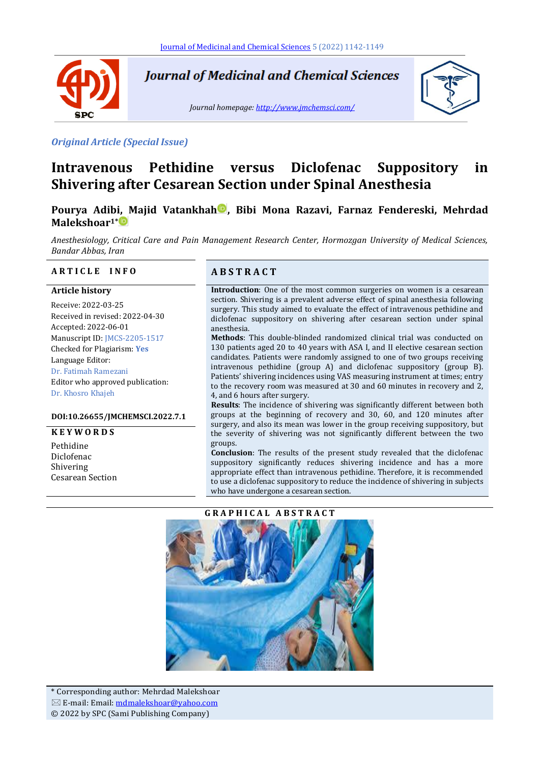

**Journal of Medicinal and Chemical Sciences** 

*Journal homepage[: http://www.jmchemsci.com/](http://www.jmchemsci.com/)*



#### *Original Article (Special Issue)*

# **Intravenous Pethidine versus Diclofenac Suppository in Shivering after Cesarean Section under Spinal Anesthesia**

# **Pourya Adibi, Majid Vatankhah , Bibi Mona Razavi, Farnaz Fendereski, Mehrdad Malekshoar1\***

*Anesthesiology, Critical Care and Pain Management Research Center, Hormozgan University of Medical Sciences, Bandar Abbas, Iran*

#### **A R T I C L E I N F O A B S T R A C T**

#### **Article history**

Receive: 2022-03-25 Received in revised: 2022-04-30 Accepted: 2022-06-01 Manuscript ID: JMCS-2205-1517 Checked for Plagiarism: **Yes** Language Editor: Dr. Fatimah Ramezani Editor who approved publication: Dr. Khosro Khajeh

#### **DOI:10.26655/JMCHEMSCI.2022.7.1**

#### **K E Y W O R D S**

Pethidine Diclofenac Shivering Cesarean Section

**Introduction**: One of the most common surgeries on women is a cesarean section. Shivering is a prevalent adverse effect of spinal anesthesia following surgery. This study aimed to evaluate the effect of intravenous pethidine and diclofenac suppository on shivering after cesarean section under spinal anesthesia.

**Methods**: This double-blinded randomized clinical trial was conducted on 130 patients aged 20 to 40 years with ASA I, and II elective cesarean section candidates. Patients were randomly assigned to one of two groups receiving intravenous pethidine (group A) and diclofenac suppository (group B). Patients' shivering incidences using VAS measuring instrument at times; entry to the recovery room was measured at 30 and 60 minutes in recovery and 2, 4, and 6 hours after surgery.

**Results**: The incidence of shivering was significantly different between both groups at the beginning of recovery and 30, 60, and 120 minutes after surgery, and also its mean was lower in the group receiving suppository, but the severity of shivering was not significantly different between the two groups.

**Conclusion**: The results of the present study revealed that the diclofenac suppository significantly reduces shivering incidence and has a more appropriate effect than intravenous pethidine. Therefore, it is recommended to use a diclofenac suppository to reduce the incidence of shivering in subjects who have undergone a cesarean section.

#### **G R A P H I C A L A B S T R A C T**

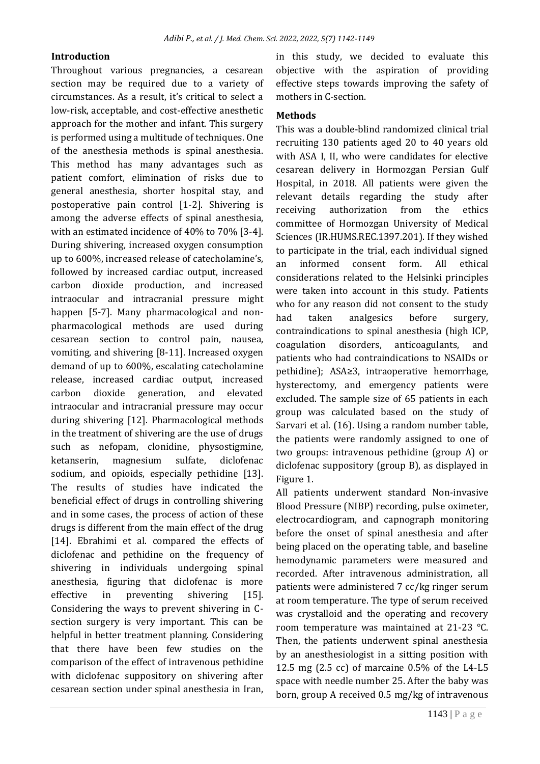### **Introduction**

Throughout various pregnancies, a cesarean section may be required due to a variety of circumstances. As a result, it's critical to select a low-risk, acceptable, and cost-effective anesthetic approach for the mother and infant. This surgery is performed using a multitude of techniques. One of the anesthesia methods is spinal anesthesia. This method has many advantages such as patient comfort, elimination of risks due to general anesthesia, shorter hospital stay, and postoperative pain control [1-2]. Shivering is among the adverse effects of spinal anesthesia, with an estimated incidence of 40% to 70% [3-4]. During shivering, increased oxygen consumption up to 600%, increased release of catecholamine's, followed by increased cardiac output, increased carbon dioxide production, and increased intraocular and intracranial pressure might happen [5-7]. Many pharmacological and nonpharmacological methods are used during cesarean section to control pain, nausea, vomiting, and shivering [8-11]. Increased oxygen demand of up to 600%, escalating catecholamine release, increased cardiac output, increased carbon dioxide generation, and elevated intraocular and intracranial pressure may occur during shivering [12]. Pharmacological methods in the treatment of shivering are the use of drugs such as nefopam, clonidine, physostigmine, ketanserin, magnesium sulfate, diclofenac sodium, and opioids, especially pethidine [13]. The results of studies have indicated the beneficial effect of drugs in controlling shivering and in some cases, the process of action of these drugs is different from the main effect of the drug [14]. Ebrahimi et al. compared the effects of diclofenac and pethidine on the frequency of shivering in individuals undergoing spinal anesthesia, figuring that diclofenac is more effective in preventing shivering [15]. Considering the ways to prevent shivering in Csection surgery is very important. This can be helpful in better treatment planning. Considering that there have been few studies on the comparison of the effect of intravenous pethidine with diclofenac suppository on shivering after cesarean section under spinal anesthesia in Iran,

in this study, we decided to evaluate this objective with the aspiration of providing effective steps towards improving the safety of mothers in C-section.

#### **Methods**

This was a double-blind randomized clinical trial recruiting 130 patients aged 20 to 40 years old with ASA I, II, who were candidates for elective cesarean delivery in Hormozgan Persian Gulf Hospital, in 2018. All patients were given the relevant details regarding the study after receiving authorization from the ethics committee of Hormozgan University of Medical Sciences (IR.HUMS.REC.1397.201). If they wished to participate in the trial, each individual signed an informed consent form. All ethical considerations related to the Helsinki principles were taken into account in this study. Patients who for any reason did not consent to the study had taken analgesics before surgery, contraindications to spinal anesthesia (high ICP, coagulation disorders, anticoagulants, and patients who had contraindications to NSAIDs or pethidine); ASA≥3, intraoperative hemorrhage, hysterectomy, and emergency patients were excluded. The sample size of 65 patients in each group was calculated based on the study of Sarvari et al. (16). Using a random number table, the patients were randomly assigned to one of two groups: intravenous pethidine (group A) or diclofenac suppository (group B), as displayed in Figure 1.

All patients underwent standard Non-invasive Blood Pressure (NIBP) recording, pulse oximeter, electrocardiogram, and capnograph monitoring before the onset of spinal anesthesia and after being placed on the operating table, and baseline hemodynamic parameters were measured and recorded. After intravenous administration, all patients were administered 7 cc/kg ringer serum at room temperature. The type of serum received was crystalloid and the operating and recovery room temperature was maintained at 21-23 °C. Then, the patients underwent spinal anesthesia by an anesthesiologist in a sitting position with 12.5 mg (2.5 cc) of marcaine 0.5% of the L4-L5 space with needle number 25. After the baby was born, group A received 0.5 mg/kg of intravenous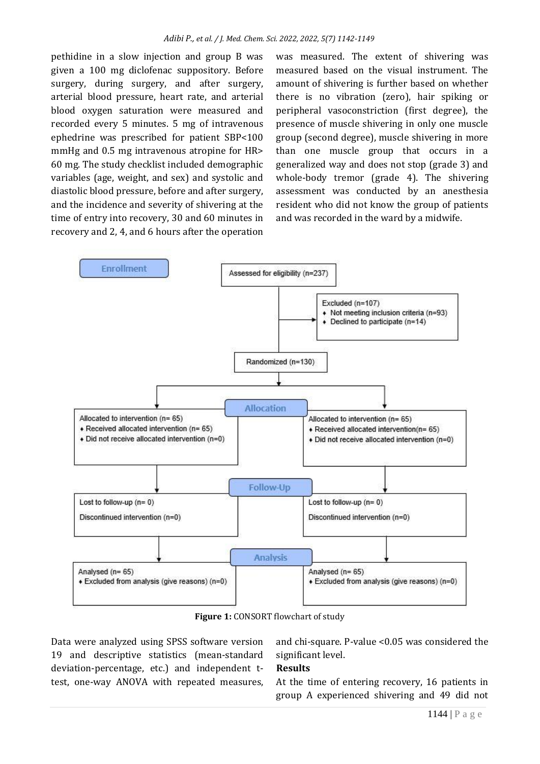pethidine in a slow injection and group B was given a 100 mg diclofenac suppository. Before surgery, during surgery, and after surgery, arterial blood pressure, heart rate, and arterial blood oxygen saturation were measured and recorded every 5 minutes. 5 mg of intravenous ephedrine was prescribed for patient SBP<100 mmHg and 0.5 mg intravenous atropine for HR> 60 mg. The study checklist included demographic variables (age, weight, and sex) and systolic and diastolic blood pressure, before and after surgery, and the incidence and severity of shivering at the time of entry into recovery, 30 and 60 minutes in recovery and 2, 4, and 6 hours after the operation

was measured. The extent of shivering was measured based on the visual instrument. The amount of shivering is further based on whether there is no vibration (zero), hair spiking or peripheral vasoconstriction (first degree), the presence of muscle shivering in only one muscle group (second degree), muscle shivering in more than one muscle group that occurs in a generalized way and does not stop (grade 3) and whole-body tremor (grade 4). The shivering assessment was conducted by an anesthesia resident who did not know the group of patients and was recorded in the ward by a midwife.



**Figure 1:** CONSORT flowchart of study

Data were analyzed using SPSS software version 19 and descriptive statistics (mean-standard deviation-percentage, etc.) and independent ttest, one-way ANOVA with repeated measures,

and chi-square. P-value <0.05 was considered the significant level.

#### **Results**

At the time of entering recovery, 16 patients in group A experienced shivering and 49 did not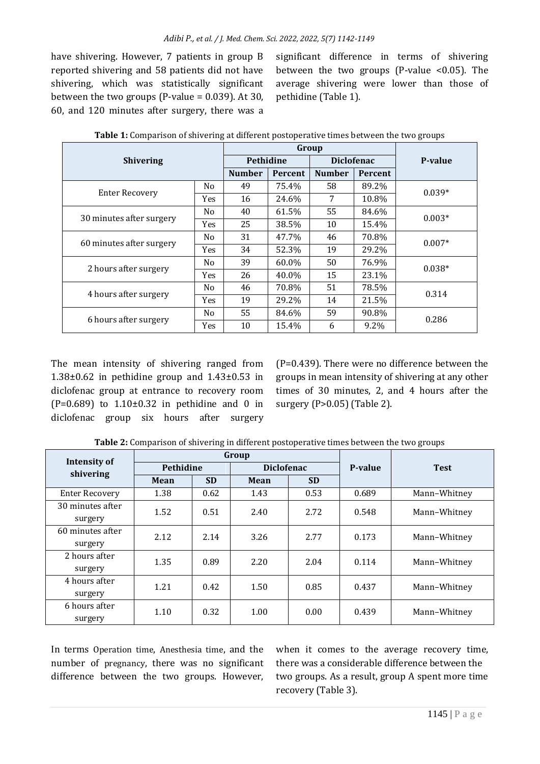have shivering. However, 7 patients in group B reported shivering and 58 patients did not have shivering, which was statistically significant between the two groups (P-value  $= 0.039$ ). At 30, 60, and 120 minutes after surgery, there was a significant difference in terms of shivering between the two groups (P-value <0.05). The average shivering were lower than those of pethidine (Table 1).

| <b>Shivering</b>         |                |                  | Group   | P-value       |                   |          |
|--------------------------|----------------|------------------|---------|---------------|-------------------|----------|
|                          |                | <b>Pethidine</b> |         |               | <b>Diclofenac</b> |          |
|                          |                | <b>Number</b>    | Percent | <b>Number</b> | Percent           |          |
| <b>Enter Recovery</b>    | No             | 49               | 75.4%   | 58            | 89.2%             | $0.039*$ |
|                          | Yes            | 16               | 24.6%   | 7             | 10.8%             |          |
| 30 minutes after surgery | No             | 40               | 61.5%   | 55            | 84.6%             | $0.003*$ |
|                          | Yes            | 25               | 38.5%   | 10            | 15.4%             |          |
| 60 minutes after surgery | No             | 31               | 47.7%   | 46            | 70.8%             | $0.007*$ |
|                          | Yes            | 34               | 52.3%   | 19            | 29.2%             |          |
| 2 hours after surgery    | No             | 39               | 60.0%   | 50            | 76.9%             | $0.038*$ |
|                          | Yes            | 26               | 40.0%   | 15            | 23.1%             |          |
| 4 hours after surgery    | No             | 46               | 70.8%   | 51            | 78.5%             | 0.314    |
|                          | Yes            | 19               | 29.2%   | 14            | 21.5%             |          |
| 6 hours after surgery    | N <sub>0</sub> | 55               | 84.6%   | 59            | 90.8%             | 0.286    |
|                          | Yes            | 10               | 15.4%   | 6             | 9.2%              |          |

**Table 1:** Comparison of shivering at different postoperative times between the two groups

The mean intensity of shivering ranged from  $1.38\pm0.62$  in pethidine group and  $1.43\pm0.53$  in diclofenac group at entrance to recovery room (P=0.689) to  $1.10 \pm 0.32$  in pethidine and 0 in diclofenac group six hours after surgery

(P=0.439). There were no difference between the groups in mean intensity of shivering at any other times of 30 minutes, 2, and 4 hours after the surgery (P>0.05) (Table 2).

| Intensity of                |                  |           | Group             | P-value | <b>Test</b> |              |
|-----------------------------|------------------|-----------|-------------------|---------|-------------|--------------|
| shivering                   | <b>Pethidine</b> |           | <b>Diclofenac</b> |         |             |              |
|                             | Mean             | <b>SD</b> | <b>SD</b><br>Mean |         |             |              |
| <b>Enter Recovery</b>       | 1.38             | 0.62      | 1.43              | 0.53    | 0.689       | Mann-Whitney |
| 30 minutes after<br>surgery | 1.52             | 0.51      | 2.40              | 2.72    | 0.548       | Mann-Whitney |
| 60 minutes after<br>surgery | 2.12             | 2.14      | 3.26              | 2.77    | 0.173       | Mann-Whitney |
| 2 hours after<br>surgery    | 1.35             | 0.89      | 2.20              | 2.04    | 0.114       | Mann-Whitney |
| 4 hours after<br>surgery    | 1.21             | 0.42      | 1.50              | 0.85    | 0.437       | Mann-Whitney |
| 6 hours after<br>surgery    | 1.10             | 0.32      | 1.00              | 0.00    | 0.439       | Mann-Whitney |

**Table 2:** Comparison of shivering in different postoperative times between the two groups

In terms Operation time, Anesthesia time, and the number of pregnancy, there was no significant difference between the two groups. However, when it comes to the average recovery time, there was a considerable difference between the two groups. As a result, group A spent more time recovery (Table 3).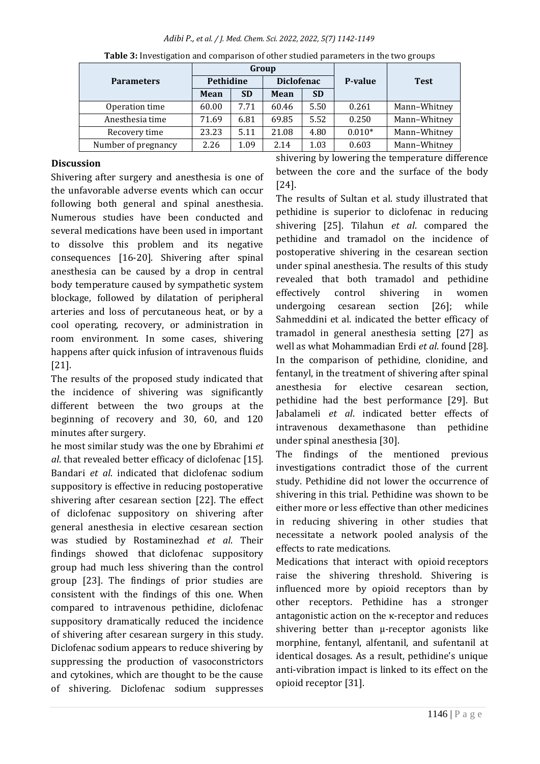#### *Adibi P., et al. / J. Med. Chem. Sci. 2022, 2022, 5(7) 1142-1149*

|                     | Group       |           |                   |           |          |              |
|---------------------|-------------|-----------|-------------------|-----------|----------|--------------|
| <b>Parameters</b>   | Pethidine   |           | <b>Diclofenac</b> |           | P-value  | <b>Test</b>  |
|                     | <b>Mean</b> | <b>SD</b> | Mean              | <b>SD</b> |          |              |
| Operation time      | 60.00       | 7.71      | 60.46             | 5.50      | 0.261    | Mann-Whitney |
| Anesthesia time     | 71.69       | 6.81      | 69.85             | 5.52      | 0.250    | Mann-Whitney |
| Recovery time       | 23.23       | 5.11      | 21.08             | 4.80      | $0.010*$ | Mann-Whitney |
| Number of pregnancy | 2.26        | 1.09      | 2.14              | 1.03      | 0.603    | Mann-Whitney |

**Table 3:** Investigation and comparison of other studied parameters in the two groups

## **Discussion**

Shivering after surgery and anesthesia is one of the unfavorable adverse events which can occur following both general and spinal anesthesia. Numerous studies have been conducted and several medications have been used in important to dissolve this problem and its negative consequences [16-20]. Shivering after spinal anesthesia can be caused by a drop in central body temperature caused by sympathetic system blockage, followed by dilatation of peripheral arteries and loss of percutaneous heat, or by a cool operating, recovery, or administration in room environment. In some cases, shivering happens after quick infusion of intravenous fluids [21].

The results of the proposed study indicated that the incidence of shivering was significantly different between the two groups at the beginning of recovery and 30, 60, and 120 minutes after surgery.

he most similar study was the one by Ebrahimi *et al*. that revealed better efficacy of diclofenac [15]. Bandari *et al*. indicated that diclofenac sodium suppository is effective in reducing postoperative shivering after cesarean section [22]. The effect of diclofenac suppository on shivering after general anesthesia in elective cesarean section was studied by Rostaminezhad *et al*. Their findings showed that diclofenac suppository group had much less shivering than the control group [23]. The findings of prior studies are consistent with the findings of this one. When compared to intravenous pethidine, diclofenac suppository dramatically reduced the incidence of shivering after cesarean surgery in this study. Diclofenac sodium appears to reduce shivering by suppressing the production of vasoconstrictors and cytokines, which are thought to be the cause of shivering. Diclofenac sodium suppresses

shivering by lowering the temperature difference between the core and the surface of the body [24].

The results of Sultan et al. study illustrated that pethidine is superior to diclofenac in reducing shivering [25]. Tilahun *et al*. compared the pethidine and tramadol on the incidence of postoperative shivering in the cesarean section under spinal anesthesia. The results of this study revealed that both tramadol and pethidine effectively control shivering in women undergoing cesarean section [26]; while Sahmeddini et al. indicated the better efficacy of tramadol in general anesthesia setting [27] as well as what Mohammadian Erdi *et al*. found [28]. In the comparison of pethidine, clonidine, and fentanyl, in the treatment of shivering after spinal anesthesia for elective cesarean section, pethidine had the best performance [29]. But Jabalameli *et al*. indicated better effects of intravenous dexamethasone than pethidine under spinal anesthesia [30].

The findings of the mentioned previous investigations contradict those of the current study. Pethidine did not lower the occurrence of shivering in this trial. Pethidine was shown to be either more or less effective than other medicines in reducing shivering in other studies that necessitate a network pooled analysis of the effects to rate medications.

Medications that interact with opioid receptors raise the shivering threshold. Shivering is influenced more by opioid receptors than by other receptors. Pethidine has a stronger antagonistic action on the κ-receptor and reduces shivering better than μ-receptor agonists like morphine, fentanyl, alfentanil, and sufentanil at identical dosages. As a result, pethidine's unique anti-vibration impact is linked to its effect on the opioid receptor [31].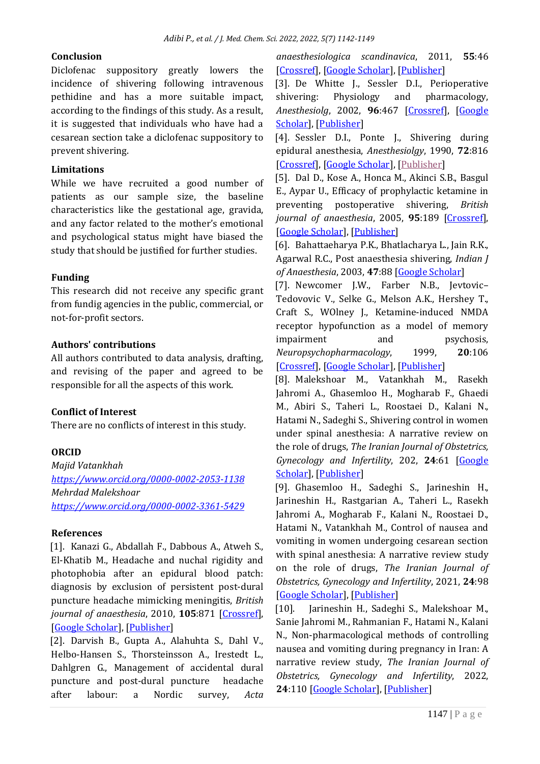#### **Conclusion**

Diclofenac suppository greatly lowers the incidence of shivering following intravenous pethidine and has a more suitable impact, according to the findings of this study. As a result, it is suggested that individuals who have had a cesarean section take a diclofenac suppository to prevent shivering.

#### **Limitations**

While we have recruited a good number of patients as our sample size, the baseline characteristics like the gestational age, gravida, and any factor related to the mother's emotional and psychological status might have biased the study that should be justified for further studies.

#### **Funding**

This research did not receive any specific grant from fundig agencies in the public, commercial, or not-for-profit sectors.

#### **Authors' contributions**

All authors contributed to data analysis, drafting, and revising of the paper and agreed to be responsible for all the aspects of this work.

# **Conflict of Interest**

There are no conflicts of interest in this study.

# **ORCID**

*Majid Vatankhah <https://www.orcid.org/0000-0002-2053-1138> Mehrdad Malekshoar <https://www.orcid.org/0000-0002-3361-5429>*

#### **References**

[1]. Kanazi G., Abdallah F., Dabbous A., Atweh S., El-Khatib M., Headache and nuchal rigidity and photophobia after an epidural blood patch: diagnosis by exclusion of persistent post-dural puncture headache mimicking meningitis, *British journal of anaesthesia*, 2010, **105**:871 [\[Crossref\]](https://doi.org/10.1093/bja/aeq326), [\[Google Scholar\]](https://scholar.google.com/scholar?hl=de&as_sdt=0%2C5&q=Headache+and+nuchal+rigidity+and+photophobia+after+an+epidural+blood+patch%3A+diagnosis+by+exclusion+of+persistent+post-dural+puncture+headache+mimicking+meningitis&btnG=), [\[Publisher\]](https://academic.oup.com/bja/article/105/6/871/324886?login=true)

[2]. Darvish B., Gupta A., Alahuhta S., Dahl V., Helbo-Hansen S., Thorsteinsson A., Irestedt L., Dahlgren G., Management of accidental dural puncture and post-dural puncture headache after labour: a Nordic survey, *Acta* 

*anaesthesiologica scandinavica*, 2011, **55**:46 [\[Crossref\]](https://doi.org/10.1111/j.1399-6576.2010.02335.x), [\[Google Scholar\]](https://scholar.google.com/scholar?hl=de&as_sdt=0%2C5&q=Management+of+accidental+dural+puncture+and+post-dural+puncture++headache+after+labour%3A+a+Nordic+survey.+Acta+Anaesthesiol+Scand+2011%3B+55%281%29%3A+46-53+&btnG=), [\[Publisher\]](https://onlinelibrary.wiley.com/doi/abs/10.1111/j.1399-6576.2010.02335.x)

[3]. De Whitte J., Sessler D.I., Perioperative shivering: Physiology and pharmacology, *Anesthesiolg*, 2002, **96**:467 [\[Crossref\]](https://doi.org/10.1097/00000542-200202000-00036), [\[Google](https://scholar.google.com/scholar?hl=de&as_sdt=0%2C5&q=Perioperative+Shivering%3A+Physiology+and+Pharmacology&btnG=)  [Scholar\]](https://scholar.google.com/scholar?hl=de&as_sdt=0%2C5&q=Perioperative+Shivering%3A+Physiology+and+Pharmacology&btnG=), [\[Publisher\]](https://pubs.asahq.org/anesthesiology/article/96/2/467/39972/Perioperative-ShiveringPhysiology-and-Pharmacology)

[4]. Sessler D.I., Ponte J., Shivering during epidural anesthesia, *Anesthesiolgy*, 1990, **72**:816 [\[Crossref\]](https://doi.org/10.1097/00000542-199005000-00008), [\[Google Scholar\]](https://scholar.google.com/scholar?hl=en&as_sdt=0%2C5&q=Chan%2C+V.W.%2C+Morley-Forester%2C+P.K.+and+Vosu%2C+H.A.%2C+1990.+Shivering+during+epidural+anesthesia.+Anesthesiology%2C+72%285%29%2C+pp.816-821.&btnG=), [\[Publisher\]](https://pubmed.ncbi.nlm.nih.gov/2339797/)

[5]. Dal D., Kose A., Honca M., Akinci S.B., Basgul E., Aypar U., Efficacy of prophylactic ketamine in preventing postoperative shivering, *British journal of anaesthesia*, 2005, **95**:189 [\[Crossref\]](https://doi.org/10.1093/bja/aei148), [\[Google Scholar\]](https://scholar.google.com/scholar?hl=de&as_sdt=0%2C5&q=Efficacy+of+prophylactic+ketamine+in+preventing+postoperative+shivering&btnG=), [\[Publisher\]](https://academic.oup.com/bja/article/95/2/189/313915?login=true)

[6]. Bahattaeharya P.K., Bhatlacharya L., Jain R.K., Agarwal R.C., Post anaesthesia shivering, *Indian J of Anaesthesia*, 2003, **47**:88 [\[Google Scholar\]](https://scholar.google.com/scholar_lookup?journal=Indian+J+Anaesth&title=Post+anaesthesia+shivering+(PAS):+A+review&author=PK+Bhattacharya&author=L+Bhattacharya&author=RK+Jain&author=RC+Agarwal&volume=47&publication_year=2003&pages=88-93&)

[7]. Newcomer J.W., Farber N.B., Jevtovic– Tedovovic V., Selke G., Melson A.K., Hershey T., Craft S., WOlney J., Ketamine-induced NMDA receptor hypofunction as a model of memory impairment and psychosis, *Neuropsychopharmacology*, 1999, **20**:106 [\[Crossref\]](https://doi.org/10.1016/S0893-133X(98)00067-0), [\[Google Scholar\]](https://scholar.google.com/scholar?hl=de&as_sdt=0%2C5&q=Ketamine-induced+NMDA+receptor+hypofunction+as+a+model+of+memory+impairment+and+psychosis&btnG=), [\[Publisher\]](https://www.sciencedirect.com/science/article/abs/pii/S0893133X98000670)

[8]. Malekshoar M., Vatankhah M., Rasekh Jahromi A., Ghasemloo H., Mogharab F., Ghaedi M., Abiri S., Taheri L., Roostaei D., Kalani N., Hatami N., Sadeghi S., Shivering control in women under spinal anesthesia: A narrative review on the role of drugs, *The Iranian Journal of Obstetrics, Gynecology and Infertility*, 202, **24**:61 [\[Google](https://scholar.google.com/scholar?hl=de&as_sdt=0%2C5&q=Shivering+control+in+women+under+spinal+anesthesia%3A+A+narrative+review+on+the+role+of+drugs&btnG=)  [Scholar\]](https://scholar.google.com/scholar?hl=de&as_sdt=0%2C5&q=Shivering+control+in+women+under+spinal+anesthesia%3A+A+narrative+review+on+the+role+of+drugs&btnG=), [\[Publisher\]](http://eprints.mums.ac.ir/38638/)

[9]. Ghasemloo H., Sadeghi S., Jarineshin H., Jarineshin H., Rastgarian A., Taheri L., Rasekh Jahromi A., Mogharab F., Kalani N., Roostaei D., Hatami N., Vatankhah M., Control of nausea and vomiting in women undergoing cesarean section with spinal anesthesia: A narrative review study on the role of drugs, *The Iranian Journal of Obstetrics, Gynecology and Infertility*, 2021, **24**:98 [\[Google Scholar\]](https://scholar.google.com/scholar?hl=de&as_sdt=0%2C5&q=Control+of+nausea+and+vomiting+in+women+undergoing+cesarean+section+with+spinal+anesthesia%3A+A+narrative+review+study+on+the+role+of+drugs%2C&btnG=), [\[Publisher\]](http://eprints.mums.ac.ir/38641/)

[10]. Jarineshin H., Sadeghi S., Malekshoar M., Sanie Jahromi M., Rahmanian F., Hatami N., Kalani N., Non-pharmacological methods of controlling nausea and vomiting during pregnancy in Iran: A narrative review study, *The Iranian Journal of Obstetrics, Gynecology and Infertility*, 2022, **24**:110 [\[Google Scholar\]](https://scholar.google.com/scholar?hl=de&as_sdt=0%2C5&q=Non-pharmacological+methods+of+controlling+nausea+and+vomiting+during+pregnancy+in+Iran%3A+A+narrative+review+study%2C+The+Iranian+Journal+of+Obstetrics%2C+Gyn&btnG=), [\[Publisher\]](http://eprints.mums.ac.ir/39068/)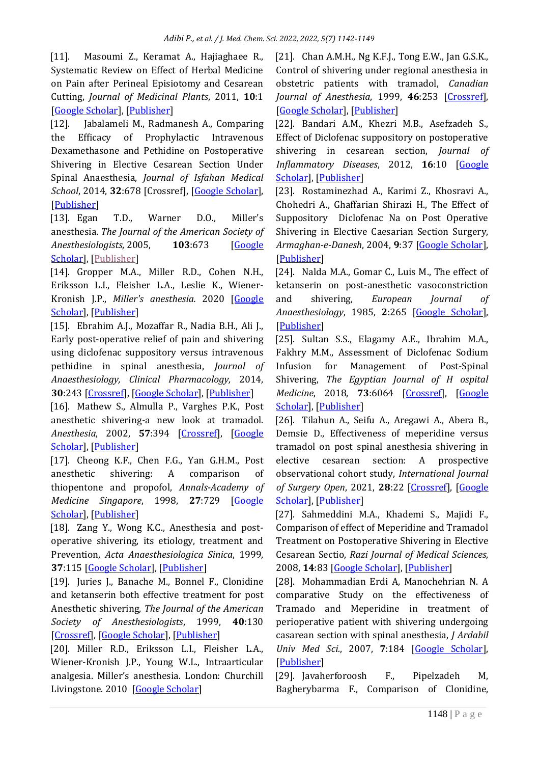[11]. Masoumi Z., Keramat A., Hajiaghaee R., Systematic Review on Effect of Herbal Medicine on Pain after Perineal Episiotomy and Cesarean Cutting, *Journal of Medicinal Plants*, 2011, **10**:1 [\[Google Scholar\]](https://scholar.google.com/scholar?hl=de&as_sdt=0%2C5&q=Systematic+Review+on+Effect+of+Herbal+Medicine+on+Pain+after+Perineal+Episiotomy+and+Cesarean+Cutting.+J.+Med.+Plants.+2011%2C+10%3A1-16+&btnG=), [\[Publisher\]](http://eprints.umsha.ac.ir/369/)

[12]. Jabalameli M., Radmanesh A., Comparing the Efficacy of Prophylactic Intravenous Dexamethasone and Pethidine on Postoperative Shivering in Elective Cesarean Section Under Spinal Anaesthesia, *Journal of Isfahan Medical School*, 2014, **32**:678 [Crossref], [\[Google Scholar\]](https://scholar.google.com/scholar?hl=de&as_sdt=0%2C5&q=Comparing+the+Efficacy+of+Prophylactic+Intravenous+Dexamethasone+and+Pethidine+on+Postoperative+Shivering+in+Elective+Cesarean+Section+Under+Spinal+Anaesthesia&btnG=), [\[Publisher\]](http://jims.mui.ac.ir/article_14337.html?lang=en)

[13]. Egan T.D., Warner D.O., Miller's anesthesia. *The Journal of the American Society of Anesthesiologists*, 2005, **103**:673 [\[Google](https://scholar.google.com/scholar?hl=en&as_sdt=0%2C5&q=Egan%2C+T.D.+and+Warner%2C+D.O.%2C+2005.+Miller%27s+anesthesia.+&btnG=)  [Scholar\]](https://scholar.google.com/scholar?hl=en&as_sdt=0%2C5&q=Egan%2C+T.D.+and+Warner%2C+D.O.%2C+2005.+Miller%27s+anesthesia.+&btnG=), [\[Publisher\]](https://pubs.asahq.org/anesthesiology/article/103/3/673/8689/Miller-s-Anesthesia-6th-Edition)

[14]. Gropper M.A., Miller R.D., Cohen N.H., Eriksson L.I., Fleisher L.A., Leslie K., Wiener-Kronish J.P., *Miller's anesthesia.* 2020 [\[Google](https://scholar.google.com/scholar?hl=en&as_sdt=0%2C5&q=Gropper%2C+M.A.%2C+Miller%2C+R.D.%2C+Cohen%2C+N.H.%2C+Eriksson%2C+L.I.%2C+Fleisher%2C+L.A.%2C+Leslie%2C+K.+and+Wiener-Kronish%2C+J.P.%2C+2020.+Miller%27s+anesthesia.&btnG=)  [Scholar\]](https://scholar.google.com/scholar?hl=en&as_sdt=0%2C5&q=Gropper%2C+M.A.%2C+Miller%2C+R.D.%2C+Cohen%2C+N.H.%2C+Eriksson%2C+L.I.%2C+Fleisher%2C+L.A.%2C+Leslie%2C+K.+and+Wiener-Kronish%2C+J.P.%2C+2020.+Miller%27s+anesthesia.&btnG=), [\[Publisher\]](https://anzca.intersearch.com.au/anzcajspui/handle/11055/910)

[15]. Ebrahim A.J., Mozaffar R., Nadia B.H., Ali J., Early post-operative relief of pain and shivering using diclofenac suppository versus intravenous pethidine in spinal anesthesia, *Journal of Anaesthesiology, Clinical Pharmacology,* 2014, **30**:243 [\[Crossref\]](https://doi.org/10.4103%2F0970-9185.130038), [\[Google Scholar\]](https://scholar.google.com/scholar?hl=de&as_sdt=0%2C5&q=+Early+post-operative+relief+of+pain+and+shivering+using+diclofenac+suppository+versus+intravenous+pethidine+in+spinal+anesthesia.+J+Anaesthesiol+Clin+Pharmacol++2014%3B30%3A243-7+&btnG=), [\[Publisher\]](https://journals.lww.com/joacp/Fulltext/2014/30020/Early_post_operative_relief_of_pain_and_shivering.20.aspx)

[16]. Mathew S., Almulla P., Varghes P.K., Post anesthetic shivering-a new look at tramadol. *Anesthesia*, 2002, **57**:394 [\[Crossref\]](https://doi.org/10.1046/j.1365-2044.2002.2457_3.x), [\[Google](https://scholar.google.com/scholar?hl=en&as_sdt=0%2C5&q=Postanaesthetic+shivering--a+new+look+at+tramadol&btnG=)  [Scholar\]](https://scholar.google.com/scholar?hl=en&as_sdt=0%2C5&q=Postanaesthetic+shivering--a+new+look+at+tramadol&btnG=), [\[Publisher\]](https://associationofanaesthetists-publications.onlinelibrary.wiley.com/doi/full/10.1046/j.1365-2044.2002.2457_3.x)

[17]. Cheong K.F., Chen F.G., Yan G.H.M., Post anesthetic shivering: A comparison of thiopentone and propofol, *Annals-Academy of Medicine Singapore*, 1998, **27**:729 [\[Google](https://scholar.google.com/scholar?hl=de&as_sdt=0%2C5&q=Post+anesthetic+shivering%3A+A+comparison+of+thiopentone+and+propofol&btnG=)  [Scholar\]](https://scholar.google.com/scholar?hl=de&as_sdt=0%2C5&q=Post+anesthetic+shivering%3A+A+comparison+of+thiopentone+and+propofol&btnG=), [\[Publisher\]](https://citeseerx.ist.psu.edu/viewdoc/download?doi=10.1.1.610.9190&rep=rep1&type=pdf)

[18]. Zang Y., Wong K.C., Anesthesia and postoperative shivering, its etiology, treatment and Prevention, *Acta Anaesthesiologica Sinica*, 1999, **37**:115 [\[Google Scholar\]](https://scholar.google.com/scholar?hl=de&as_sdt=0%2C5&q=Anesthesia+and+postoperative+shivering%3A+its+etiology%2C+treatment+and+prevention.&btnG=), [\[Publisher\]](https://europepmc.org/article/med/10609344)

[19]. Juries J., Banache M., Bonnel F., Clonidine and ketanserin both effective treatment for post Anesthetic shivering, *The Journal of the American Society of Anesthesiologists*, 1999, **40**:130 [\[Crossref\]](https://doi.org/10.1097/00000542-199309000-00017), [\[Google Scholar\]](https://scholar.google.com/scholar?hl=en&as_sdt=0%2C5&q=Clonidine+and+ketanserin+both+are+effective+treatment+for+postanesthetic+shivering&btnG=), [\[Publisher\]](https://pubs.asahq.org/anesthesiology/article/79/3/532/33708/Clonidine-and-Ketanserin-Both-Are-Effective)

[20]. Miller R.D., Eriksson L.I., Fleisher L.A., Wiener-Kronish J.P., Young W.L., Intraarticular analgesia. Miller's anesthesia. London: Churchill Livingstone. 2010 [\[Google Scholar\]](https://scholar.google.com/scholar?hl=en&as_sdt=0%2C5&q=+Intraarticular+analgesia.+Miller%27s+anesthesia.+London%3A+Churchill+Livingstone&btnG=)

[21]. Chan A.M.H., Ng K.F.J., Tong E.W., Jan G.S.K., Control of shivering under regional anesthesia in obstetric patients with tramadol, *Canadian Journal of Anesthesia*, 1999, **46**:253 [\[Crossref\]](https://doi.org/10.1007/BF03012605), [\[Google Scholar\]](https://scholar.google.com/scholar?hl=de&as_sdt=0%2C5&q=Control+of+shivering+under+regional+anesthesia+in+obstetric+patients+with+tramadol&btnG=), [\[Publisher\]](https://link.springer.com/article/10.1007/BF03012605)

[22]. Bandari A.M., Khezri M.B., Asefzadeh S., Effect of Diclofenac suppository on postoperative shivering in cesarean section, *Journal of Inflammatory Diseases*, 2012, **16**:10 [\[Google](https://scholar.google.com/scholar?hl=de&as_sdt=0%2C5&q=Effect+of+Diclofenac+suppository+on+postoperative+shivering+in+cesarean+section&btnG=)  [Scholar\]](https://scholar.google.com/scholar?hl=de&as_sdt=0%2C5&q=Effect+of+Diclofenac+suppository+on+postoperative+shivering+in+cesarean+section&btnG=), [\[Publisher\]](https://journal.qums.ac.ir/article-1-1237-fa.html)

[23]. Rostaminezhad A., Karimi Z., Khosravi A., Chohedri A., Ghaffarian Shirazi H., The Effect of Suppository Diclofenac Na on Post Operative Shivering in Elective Caesarian Section Surgery, *Armaghan-e-Danesh*, 2004, **9**:37 [\[Google Scholar\]](https://scholar.google.com/scholar?hl=de&as_sdt=0%2C5&q=The+Effect+of+Suppository++Diclofenac+Na+on+Post+Operative+Shivering+in+Elective+Caesarian+Section+Surgery&btnG=), [\[Publisher\]](https://www.sid.ir/en/Journal/ViewPaper.aspx?ID=37639)

[24]. Nalda M.A., Gomar C., Luis M., The effect of ketanserin on post-anesthetic vasoconstriction and shivering, *European Journal of Anaesthesiology*, 1985, **2**:265 [\[Google Scholar\]](https://scholar.google.com/scholar?hl=de&as_sdt=0%2C5&q=The+effect+of+ketanserin+on+post-anaesthetic+vasoconstriction+and+shivering.&btnG=), [\[Publisher\]](https://europepmc.org/article/med/2933253)

[25]. Sultan S.S., Elagamy A.E., Ibrahim M.A., Fakhry M.M., Assessment of Diclofenac Sodium Infusion for Management of Post-Spinal Shivering, *The Egyptian Journal of H ospital Medicine*, 2018, **73**:6064 [\[Crossref\]](https://dx.doi.org/10.21608/ejhm.2018.12508), [\[Google](https://scholar.google.com/scholar?hl=de&as_sdt=0%2C5&q=Assessment+of+Diclofenac+Sodium+Infusion+for+Management+of+Post-Spinal+Shivering&btnG=)  [Scholar\]](https://scholar.google.com/scholar?hl=de&as_sdt=0%2C5&q=Assessment+of+Diclofenac+Sodium+Infusion+for+Management+of+Post-Spinal+Shivering&btnG=), [\[Publisher\]](https://journals.ekb.eg/article_12508.html)

[26]. Tilahun A., Seifu A., Aregawi A., Abera B., Demsie D., Effectiveness of meperidine versus tramadol on post spinal anesthesia shivering in elective cesarean section: A prospective observational cohort study, *International Journal of Surgery Open*, 2021, **28**:22 [\[Crossref\]](https://doi.org/10.1016/j.ijso.2020.11.005), [\[Google](https://scholar.google.com/scholar?hl=de&as_sdt=0%2C5&q=Effectiveness+of+meperidine+versus+tramadol+on+post+spinal+anesthesia+shivering+in+elective+cesarean+section%3A+A+prospective+observational+cohort+study&btnG=)  [Scholar\]](https://scholar.google.com/scholar?hl=de&as_sdt=0%2C5&q=Effectiveness+of+meperidine+versus+tramadol+on+post+spinal+anesthesia+shivering+in+elective+cesarean+section%3A+A+prospective+observational+cohort+study&btnG=), [\[Publisher\]](https://www.sciencedirect.com/science/article/pii/S2405857220301054)

[27]. Sahmeddini M.A., Khademi S., Majidi F., Comparison of effect of Meperidine and Tramadol Treatment on Postoperative Shivering in Elective Cesarean Sectio, *Razi Journal of Medical Sciences*, 2008, **14**:83 [\[Google Scholar\]](https://scholar.google.com/scholar?hl=de&as_sdt=0%2C5&q=Comparison+of+effect+of+Meperidine+and+Tramadol+Treatment+on+Postoperative+Shivering+in+Elective+Cesarean+Sectio&btnG=), [\[Publisher\]](https://rjms.iums.ac.ir/files/site1/user_files_06b2a0/admin-A-10-1-780-a9a82ac.pdf)

[28]. Mohammadian Erdi A, Manochehrian N. A comparative Study on the effectiveness of Tramado and Meperidine in treatment of perioperative patient with shivering undergoing casarean section with spinal anesthesia, *J Ardabil Univ Med Sci.*, 2007, **7**:184 [\[Google Scholar\]](https://scholar.google.com/scholar?hl=de&as_sdt=0%2C5&q=A+comparative+Study+on+the+effectiveness+of+Tramado+and+Meperidine+in+treatment+of+perioperative+patient+with+shivering+undergoing+casarean+section+with+spinal+anesthesia&btnG=), [\[Publisher\]](https://eprints.arums.ac.ir/2550/)

[29]. Javaherforoosh F., Pipelzadeh M, Bagherybarma F., Comparison of Clonidine,